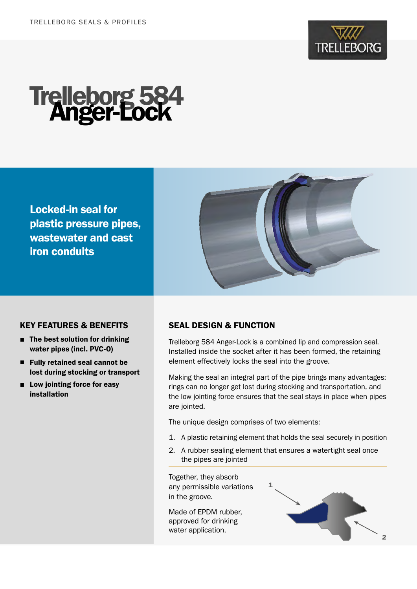

# Trelleborg 584 Anger-Lock

Locked-in seal for plastic pressure pipes, wastewater and cast iron conduits



## KEY FEATURES & BENEFITS

- The best solution for drinking water pipes (incl. PVC-O)
- Fully retained seal cannot be lost during stocking or transport
- Low jointing force for easy installation

# SEAL DESIGN & FUNCTION

Trelleborg 584 Anger-Lock is a combined lip and compression seal. Installed inside the socket after it has been formed, the retaining element effectively locks the seal into the groove.

Making the seal an integral part of the pipe brings many advantages: rings can no longer get lost during stocking and transportation, and the low jointing force ensures that the seal stays in place when pipes are jointed.

The unique design comprises of two elements:

- 1. A plastic retaining element that holds the seal securely in position
- 2. A rubber sealing element that ensures a watertight seal once the pipes are jointed

Together, they absorb any permissible variations in the groove.

Made of EPDM rubber, approved for drinking water application.